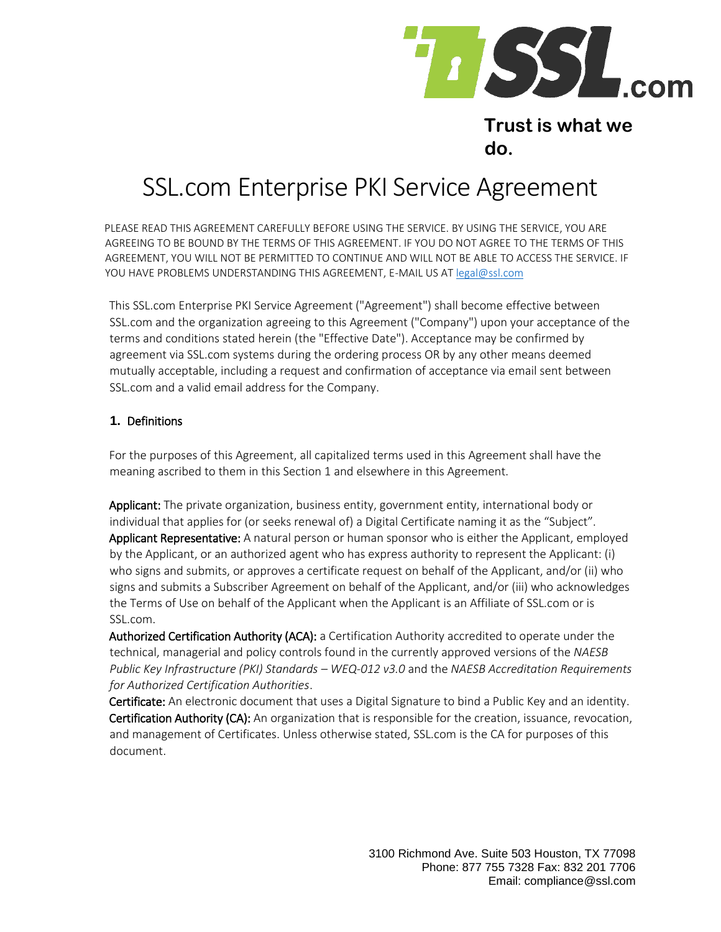

# **Trust is what we do.**

# SSL.com Enterprise PKI Service Agreement

PLEASE READ THIS AGREEMENT CAREFULLY BEFORE USING THE SERVICE. BY USING THE SERVICE, YOU ARE AGREEING TO BE BOUND BY THE TERMS OF THIS AGREEMENT. IF YOU DO NOT AGREE TO THE TERMS OF THIS AGREEMENT, YOU WILL NOT BE PERMITTED TO CONTINUE AND WILL NOT BE ABLE TO ACCESS THE SERVICE. IF YOU HAVE PROBLEMS UNDERSTANDING THIS AGREEMENT, E-MAIL US AT legal@ssl.com

This SSL.com Enterprise PKI Service Agreement ("Agreement") shall become effective between SSL.com and the organization agreeing to this Agreement ("Company") upon your acceptance of the terms and conditions stated herein (the "Effective Date"). Acceptance may be confirmed by agreement via SSL.com systems during the ordering process OR by any other means deemed mutually acceptable, including a request and confirmation of acceptance via email sent between SSL.com and a valid email address for the Company.

#### **1.** Definitions

For the purposes of this Agreement, all capitalized terms used in this Agreement shall have the meaning ascribed to them in this Section 1 and elsewhere in this Agreement.

Applicant: The private organization, business entity, government entity, international body or individual that applies for (or seeks renewal of) a Digital Certificate naming it as the "Subject". Applicant Representative: A natural person or human sponsor who is either the Applicant, employed by the Applicant, or an authorized agent who has express authority to represent the Applicant: (i) who signs and submits, or approves a certificate request on behalf of the Applicant, and/or (ii) who signs and submits a Subscriber Agreement on behalf of the Applicant, and/or (iii) who acknowledges the Terms of Use on behalf of the Applicant when the Applicant is an Affiliate of SSL.com or is SSL.com.

Authorized Certification Authority (ACA): a Certification Authority accredited to operate under the technical, managerial and policy controls found in the currently approved versions of the *NAESB Public Key Infrastructure (PKI) Standards – WEQ-012 v3.0* and the *NAESB Accreditation Requirements for Authorized Certification Authorities*.

Certificate: An electronic document that uses a Digital Signature to bind a Public Key and an identity. Certification Authority (CA): An organization that is responsible for the creation, issuance, revocation, and management of Certificates. Unless otherwise stated, SSL.com is the CA for purposes of this document.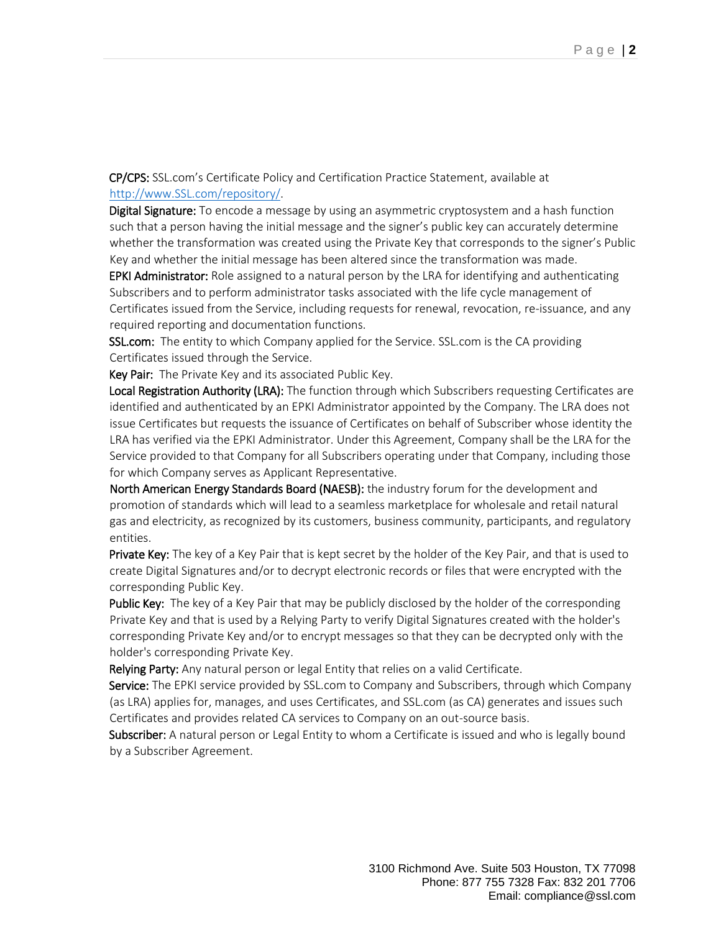CP/CPS: SSL.com's Certificate Policy and Certification Practice Statement, available at [http://www.SSL.com/repository/](http://www.ssl.com/repository/)[.](http://www.globalsign.com/repository/) 

**Digital Signature:** To encode a message by using an asymmetric cryptosystem and a hash function such that a person having the initial message and the signer's public key can accurately determine whether the transformation was created using the Private Key that corresponds to the signer's Public Key and whether the initial message has been altered since the transformation was made.

EPKI Administrator: Role assigned to a natural person by the LRA for identifying and authenticating Subscribers and to perform administrator tasks associated with the life cycle management of Certificates issued from the Service, including requests for renewal, revocation, re-issuance, and any required reporting and documentation functions.

SSL.com: The entity to which Company applied for the Service. SSL.com is the CA providing Certificates issued through the Service.

Key Pair: The Private Key and its associated Public Key.

Local Registration Authority (LRA): The function through which Subscribers requesting Certificates are identified and authenticated by an EPKI Administrator appointed by the Company. The LRA does not issue Certificates but requests the issuance of Certificates on behalf of Subscriber whose identity the LRA has verified via the EPKI Administrator. Under this Agreement, Company shall be the LRA for the Service provided to that Company for all Subscribers operating under that Company, including those for which Company serves as Applicant Representative.

North American Energy Standards Board (NAESB): the industry forum for the development and promotion of standards which will lead to a seamless marketplace for wholesale and retail natural gas and electricity, as recognized by its customers, business community, participants, and regulatory entities.

**Private Key:** The key of a Key Pair that is kept secret by the holder of the Key Pair, and that is used to create Digital Signatures and/or to decrypt electronic records or files that were encrypted with the corresponding Public Key.

Public Key: The key of a Key Pair that may be publicly disclosed by the holder of the corresponding Private Key and that is used by a Relying Party to verify Digital Signatures created with the holder's corresponding Private Key and/or to encrypt messages so that they can be decrypted only with the holder's corresponding Private Key.

Relying Party: Any natural person or legal Entity that relies on a valid Certificate.

Service: The EPKI service provided by SSL.com to Company and Subscribers, through which Company (as LRA) applies for, manages, and uses Certificates, and SSL.com (as CA) generates and issues such Certificates and provides related CA services to Company on an out-source basis.

Subscriber: A natural person or Legal Entity to whom a Certificate is issued and who is legally bound by a Subscriber Agreement.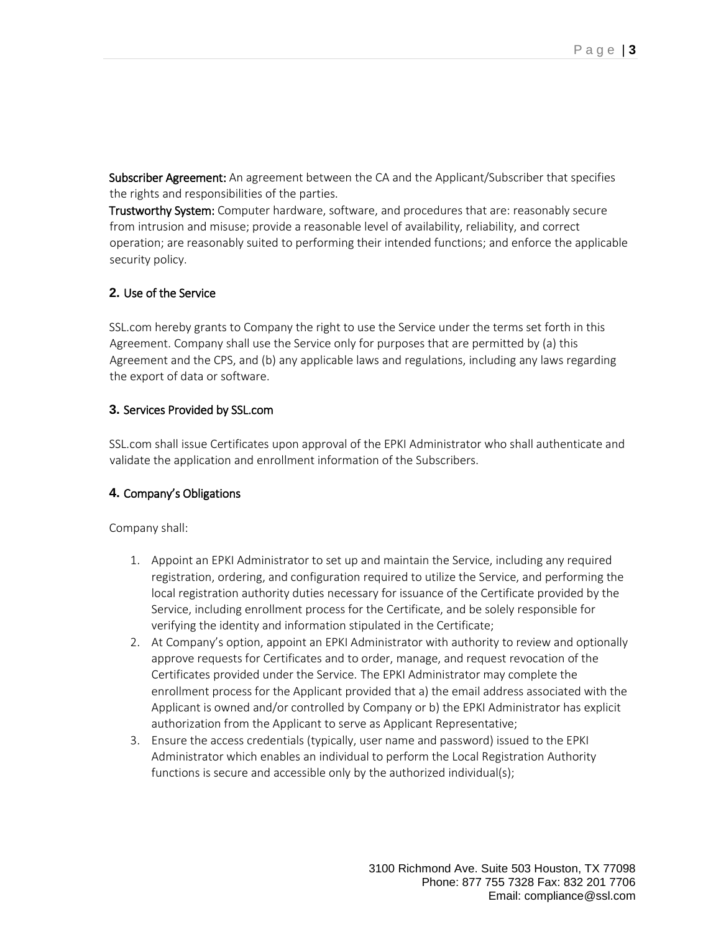Subscriber Agreement: An agreement between the CA and the Applicant/Subscriber that specifies the rights and responsibilities of the parties.

Trustworthy System: Computer hardware, software, and procedures that are: reasonably secure from intrusion and misuse; provide a reasonable level of availability, reliability, and correct operation; are reasonably suited to performing their intended functions; and enforce the applicable security policy.

#### **2.** Use of the Service

SSL.com hereby grants to Company the right to use the Service under the terms set forth in this Agreement. Company shall use the Service only for purposes that are permitted by (a) this Agreement and the CPS, and (b) any applicable laws and regulations, including any laws regarding the export of data or software.

#### **3.** Services Provided by SSL.com

SSL.com shall issue Certificates upon approval of the EPKI Administrator who shall authenticate and validate the application and enrollment information of the Subscribers.

# **4.** Company's Obligations

Company shall:

- 1. Appoint an EPKI Administrator to set up and maintain the Service, including any required registration, ordering, and configuration required to utilize the Service, and performing the local registration authority duties necessary for issuance of the Certificate provided by the Service, including enrollment process for the Certificate, and be solely responsible for verifying the identity and information stipulated in the Certificate;
- 2. At Company's option, appoint an EPKI Administrator with authority to review and optionally approve requests for Certificates and to order, manage, and request revocation of the Certificates provided under the Service. The EPKI Administrator may complete the enrollment process for the Applicant provided that a) the email address associated with the Applicant is owned and/or controlled by Company or b) the EPKI Administrator has explicit authorization from the Applicant to serve as Applicant Representative;
- 3. Ensure the access credentials (typically, user name and password) issued to the EPKI Administrator which enables an individual to perform the Local Registration Authority functions is secure and accessible only by the authorized individual(s);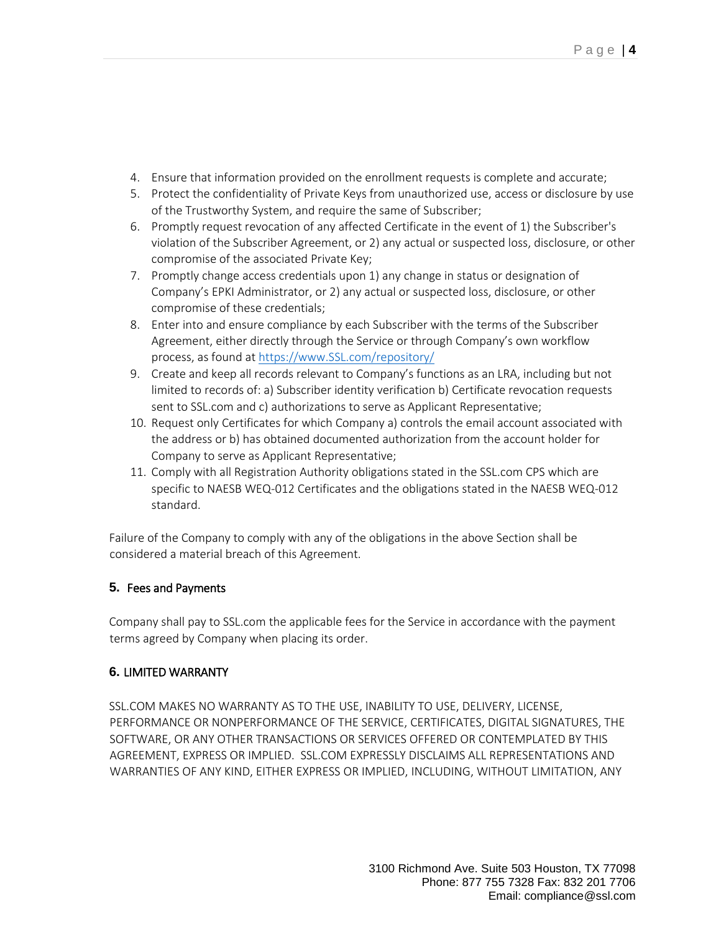- 4. Ensure that information provided on the enrollment requests is complete and accurate;
- 5. Protect the confidentiality of Private Keys from unauthorized use, access or disclosure by use of the Trustworthy System, and require the same of Subscriber;
- 6. Promptly request revocation of any affected Certificate in the event of 1) the Subscriber's violation of the Subscriber Agreement, or 2) any actual or suspected loss, disclosure, or other compromise of the associated Private Key;
- 7. Promptly change access credentials upon 1) any change in status or designation of Company's EPKI Administrator, or 2) any actual or suspected loss, disclosure, or other compromise of these credentials;
- 8. Enter into and ensure compliance by each Subscriber with the terms of the Subscriber Agreement, either directly through the Service or through Company's own workflow process, as found a[t https://www.SSL.com/repository/](https://www.ssl.com/repository/)
- 9. Create and keep all records relevant to Company's functions as an LRA, including but not limited to records of: a) Subscriber identity verification b) Certificate revocation requests sent to SSL.com and c) authorizations to serve as Applicant Representative;
- 10. Request only Certificates for which Company a) controls the email account associated with the address or b) has obtained documented authorization from the account holder for Company to serve as Applicant Representative;
- 11. Comply with all Registration Authority obligations stated in the SSL.com CPS which are specific to NAESB WEQ-012 Certificates and the obligations stated in the NAESB WEQ-012 standard.

Failure of the Company to comply with any of the obligations in the above Section shall be considered a material breach of this Agreement.

# **5.** Fees and Payments

Company shall pay to SSL.com the applicable fees for the Service in accordance with the payment terms agreed by Company when placing its order.

# **6.** LIMITED WARRANTY

SSL.COM MAKES NO WARRANTY AS TO THE USE, INABILITY TO USE, DELIVERY, LICENSE, PERFORMANCE OR NONPERFORMANCE OF THE SERVICE, CERTIFICATES, DIGITAL SIGNATURES, THE SOFTWARE, OR ANY OTHER TRANSACTIONS OR SERVICES OFFERED OR CONTEMPLATED BY THIS AGREEMENT, EXPRESS OR IMPLIED. SSL.COM EXPRESSLY DISCLAIMS ALL REPRESENTATIONS AND WARRANTIES OF ANY KIND, EITHER EXPRESS OR IMPLIED, INCLUDING, WITHOUT LIMITATION, ANY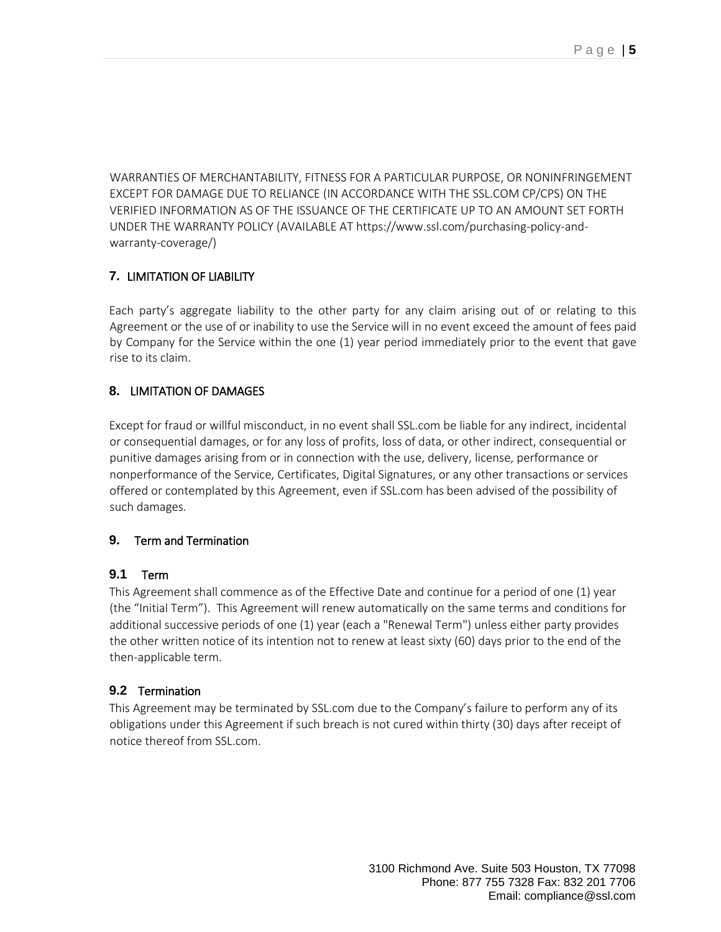WARRANTIES OF MERCHANTABILITY, FITNESS FOR A PARTICULAR PURPOSE, OR NONINFRINGEMENT EXCEPT FOR DAMAGE DUE TO RELIANCE (IN ACCORDANCE WITH THE SSL.COM CP/CPS) ON THE VERIFIED INFORMATION AS OF THE ISSUANCE OF THE CERTIFICATE UP TO AN AMOUNT SET FORTH UNDER THE WARRANTY POLICY (AVAILABLE AT https://www.ssl.com/purchasing-policy-andwarranty-coverage[/\)](http://www.globalsign.com/repository/)

# **7.** LIMITATION OF LIABILITY

Each party's aggregate liability to the other party for any claim arising out of or relating to this Agreement or the use of or inability to use the Service will in no event exceed the amount of fees paid by Company for the Service within the one (1) year period immediately prior to the event that gave rise to its claim.

# **8.** LIMITATION OF DAMAGES

Except for fraud or willful misconduct, in no event shall SSL.com be liable for any indirect, incidental or consequential damages, or for any loss of profits, loss of data, or other indirect, consequential or punitive damages arising from or in connection with the use, delivery, license, performance or nonperformance of the Service, Certificates, Digital Signatures, or any other transactions or services offered or contemplated by this Agreement, even if SSL.com has been advised of the possibility of such damages.

#### **9.** Term and Termination

#### **9.1** Term

This Agreement shall commence as of the Effective Date and continue for a period of one (1) year (the "Initial Term"). This Agreement will renew automatically on the same terms and conditions for additional successive periods of one (1) year (each a "Renewal Term") unless either party provides the other written notice of its intention not to renew at least sixty (60) days prior to the end of the then-applicable term.

# **9.2** Termination

This Agreement may be terminated by SSL.com due to the Company's failure to perform any of its obligations under this Agreement if such breach is not cured within thirty (30) days after receipt of notice thereof from SSL.com.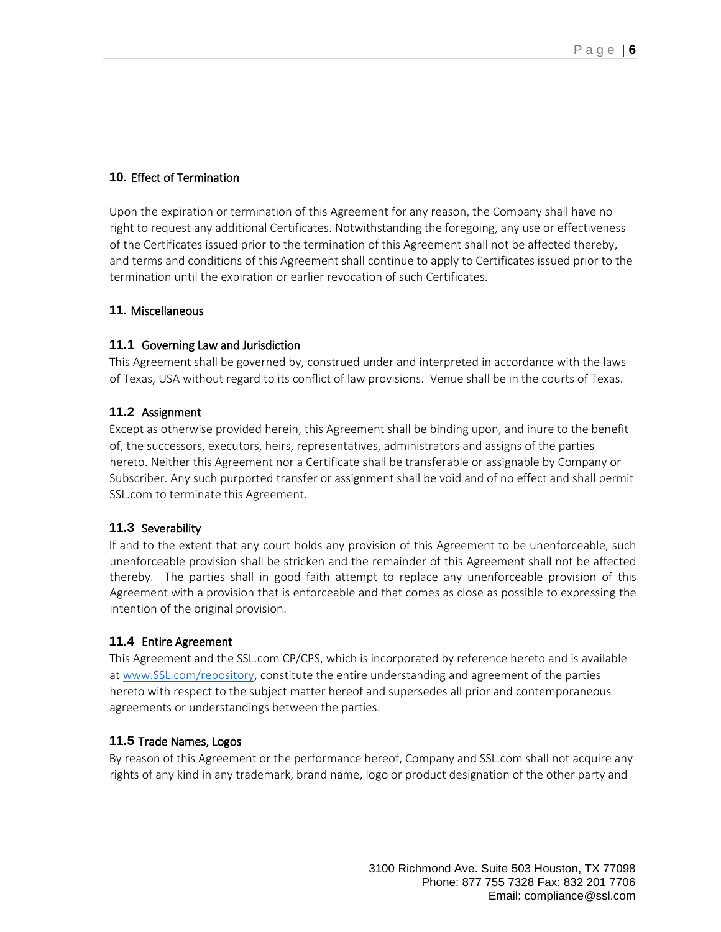#### **10.** Effect of Termination

Upon the expiration or termination of this Agreement for any reason, the Company shall have no right to request any additional Certificates. Notwithstanding the foregoing, any use or effectiveness of the Certificates issued prior to the termination of this Agreement shall not be affected thereby, and terms and conditions of this Agreement shall continue to apply to Certificates issued prior to the termination until the expiration or earlier revocation of such Certificates.

#### **11.** Miscellaneous

#### **11.1** Governing Law and Jurisdiction

This Agreement shall be governed by, construed under and interpreted in accordance with the laws of Texas, USA without regard to its conflict of law provisions. Venue shall be in the courts of Texas.

#### **11.2** Assignment

Except as otherwise provided herein, this Agreement shall be binding upon, and inure to the benefit of, the successors, executors, heirs, representatives, administrators and assigns of the parties hereto. Neither this Agreement nor a Certificate shall be transferable or assignable by Company or Subscriber. Any such purported transfer or assignment shall be void and of no effect and shall permit SSL.com to terminate this Agreement.

#### **11.3** Severability

If and to the extent that any court holds any provision of this Agreement to be unenforceable, such unenforceable provision shall be stricken and the remainder of this Agreement shall not be affected thereby. The parties shall in good faith attempt to replace any unenforceable provision of this Agreement with a provision that is enforceable and that comes as close as possible to expressing the intention of the original provision.

#### **11.4** Entire Agreement

This Agreement and the SSL.com CP/CPS, which is incorporated by reference hereto and is available at [www.SSL.com/repository](http://www.ssl.com/repository)[,](http://www.globalsign.com/repository) constitute the entire understanding and agreement of the parties hereto with respect to the subject matter hereof and supersedes all prior and contemporaneous agreements or understandings between the parties.

#### **11.5** Trade Names, Logos

By reason of this Agreement or the performance hereof, Company and SSL.com shall not acquire any rights of any kind in any trademark, brand name, logo or product designation of the other party and